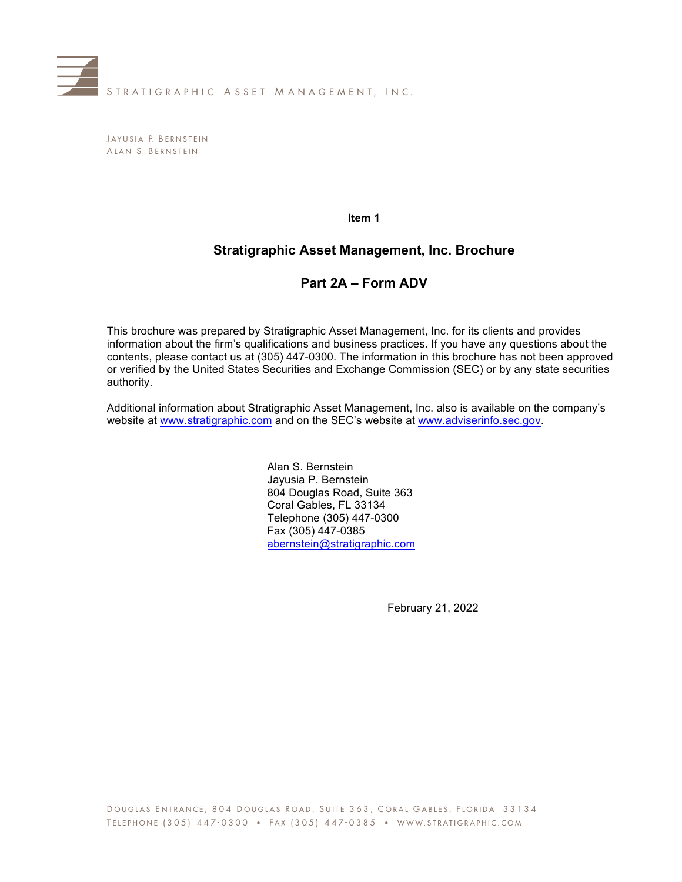

J AYUSIA P. B ERNSTEIN A LAN S. B ERNSTEIN

**Item 1**

# **Stratigraphic Asset Management, Inc. Brochure**

# **Part 2A – Form ADV**

This brochure was prepared by Stratigraphic Asset Management, Inc. for its clients and provides information about the firm's qualifications and business practices. If you have any questions about the contents, please contact us at (305) 447-0300. The information in this brochure has not been approved or verified by the United States Securities and Exchange Commission (SEC) or by any state securities authority.

Additional information about Stratigraphic Asset Management, Inc. also is available on the company's website at www.stratigraphic.com and on the SEC's website at www.adviserinfo.sec.gov.

> Alan S. Bernstein Jayusia P. Bernstein 804 Douglas Road, Suite 363 Coral Gables, FL 33134 Telephone (305) 447-0300 Fax (305) 447-0385 abernstein@stratigraphic.com

> > February 21, 2022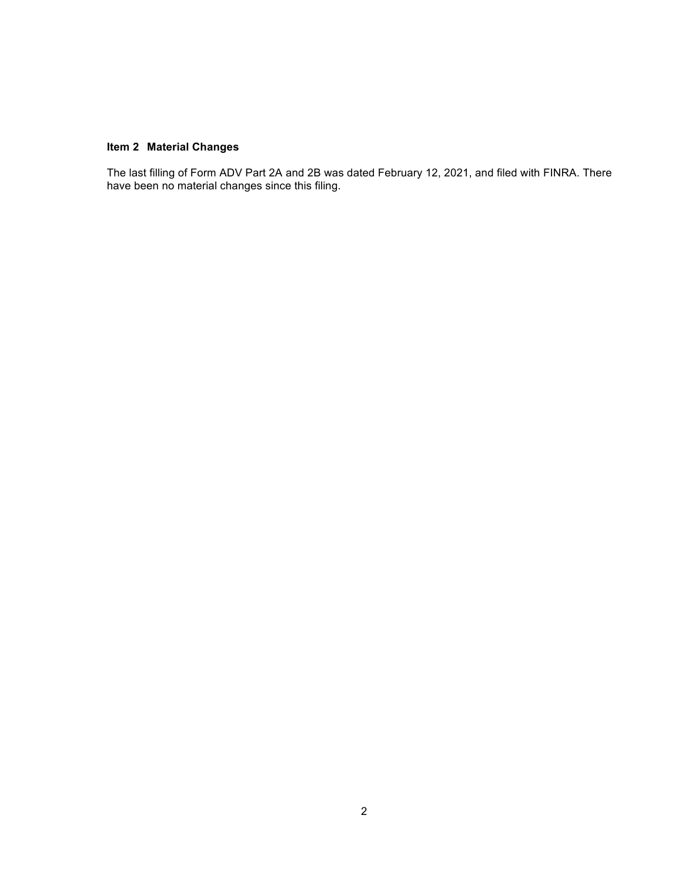## **Item 2 Material Changes**

The last filling of Form ADV Part 2A and 2B was dated February 12, 2021, and filed with FINRA. There have been no material changes since this filing.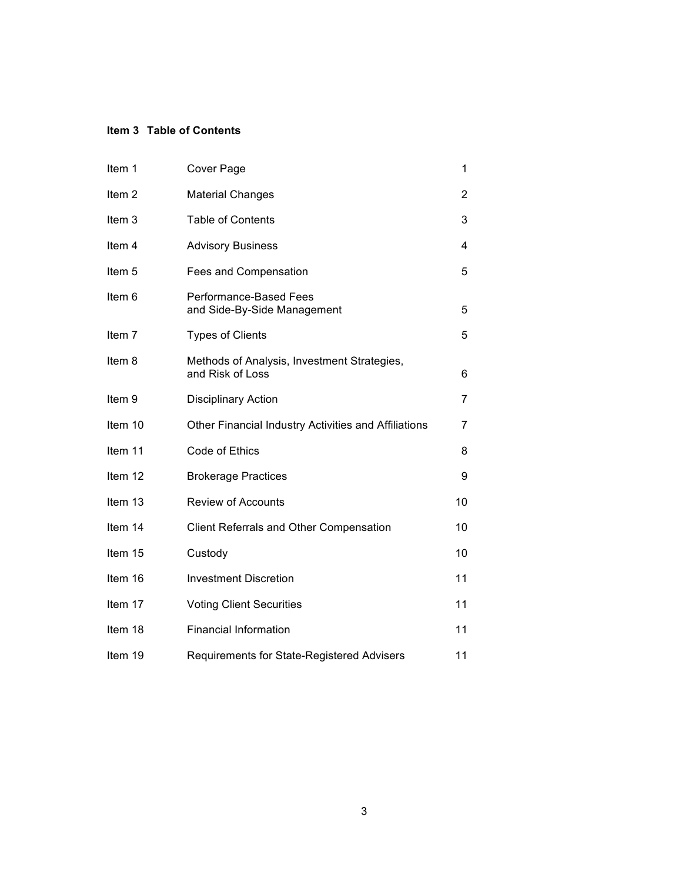## **Item 3 Table of Contents**

| Item 1            | Cover Page                                                      | 1  |
|-------------------|-----------------------------------------------------------------|----|
| Item <sub>2</sub> | <b>Material Changes</b>                                         | 2  |
| Item 3            | <b>Table of Contents</b>                                        | 3  |
| Item 4            | <b>Advisory Business</b>                                        | 4  |
| Item <sub>5</sub> | Fees and Compensation                                           | 5  |
| Item 6            | Performance-Based Fees<br>and Side-By-Side Management           | 5  |
| Item 7            | <b>Types of Clients</b>                                         | 5  |
| Item 8            | Methods of Analysis, Investment Strategies,<br>and Risk of Loss | 6  |
| Item <sub>9</sub> | <b>Disciplinary Action</b>                                      | 7  |
| Item 10           | Other Financial Industry Activities and Affiliations            | 7  |
| Item 11           | Code of Ethics                                                  | 8  |
| Item 12           | <b>Brokerage Practices</b>                                      | 9  |
| Item 13           | <b>Review of Accounts</b>                                       | 10 |
| Item 14           | <b>Client Referrals and Other Compensation</b>                  | 10 |
| Item 15           | Custody                                                         | 10 |
| Item 16           | <b>Investment Discretion</b>                                    | 11 |
| Item 17           | <b>Voting Client Securities</b>                                 | 11 |
| Item 18           | <b>Financial Information</b>                                    | 11 |
| Item 19           | Requirements for State-Registered Advisers                      | 11 |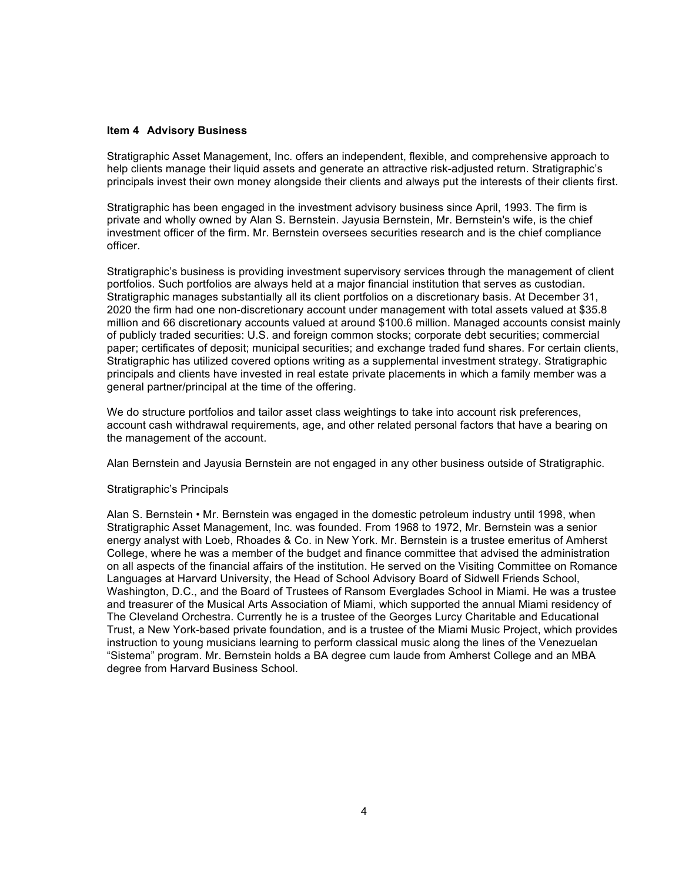### **Item 4 Advisory Business**

Stratigraphic Asset Management, Inc. offers an independent, flexible, and comprehensive approach to help clients manage their liquid assets and generate an attractive risk-adjusted return. Stratigraphic's principals invest their own money alongside their clients and always put the interests of their clients first.

Stratigraphic has been engaged in the investment advisory business since April, 1993. The firm is private and wholly owned by Alan S. Bernstein. Jayusia Bernstein, Mr. Bernstein's wife, is the chief investment officer of the firm. Mr. Bernstein oversees securities research and is the chief compliance officer.

Stratigraphic's business is providing investment supervisory services through the management of client portfolios. Such portfolios are always held at a major financial institution that serves as custodian. Stratigraphic manages substantially all its client portfolios on a discretionary basis. At December 31, 2020 the firm had one non-discretionary account under management with total assets valued at \$35.8 million and 66 discretionary accounts valued at around \$100.6 million. Managed accounts consist mainly of publicly traded securities: U.S. and foreign common stocks; corporate debt securities; commercial paper; certificates of deposit; municipal securities; and exchange traded fund shares. For certain clients, Stratigraphic has utilized covered options writing as a supplemental investment strategy. Stratigraphic principals and clients have invested in real estate private placements in which a family member was a general partner/principal at the time of the offering.

We do structure portfolios and tailor asset class weightings to take into account risk preferences, account cash withdrawal requirements, age, and other related personal factors that have a bearing on the management of the account.

Alan Bernstein and Jayusia Bernstein are not engaged in any other business outside of Stratigraphic.

### Stratigraphic's Principals

Alan S. Bernstein • Mr. Bernstein was engaged in the domestic petroleum industry until 1998, when Stratigraphic Asset Management, Inc. was founded. From 1968 to 1972, Mr. Bernstein was a senior energy analyst with Loeb, Rhoades & Co. in New York. Mr. Bernstein is a trustee emeritus of Amherst College, where he was a member of the budget and finance committee that advised the administration on all aspects of the financial affairs of the institution. He served on the Visiting Committee on Romance Languages at Harvard University, the Head of School Advisory Board of Sidwell Friends School, Washington, D.C., and the Board of Trustees of Ransom Everglades School in Miami. He was a trustee and treasurer of the Musical Arts Association of Miami, which supported the annual Miami residency of The Cleveland Orchestra. Currently he is a trustee of the Georges Lurcy Charitable and Educational Trust, a New York-based private foundation, and is a trustee of the Miami Music Project, which provides instruction to young musicians learning to perform classical music along the lines of the Venezuelan "Sistema" program. Mr. Bernstein holds a BA degree cum laude from Amherst College and an MBA degree from Harvard Business School.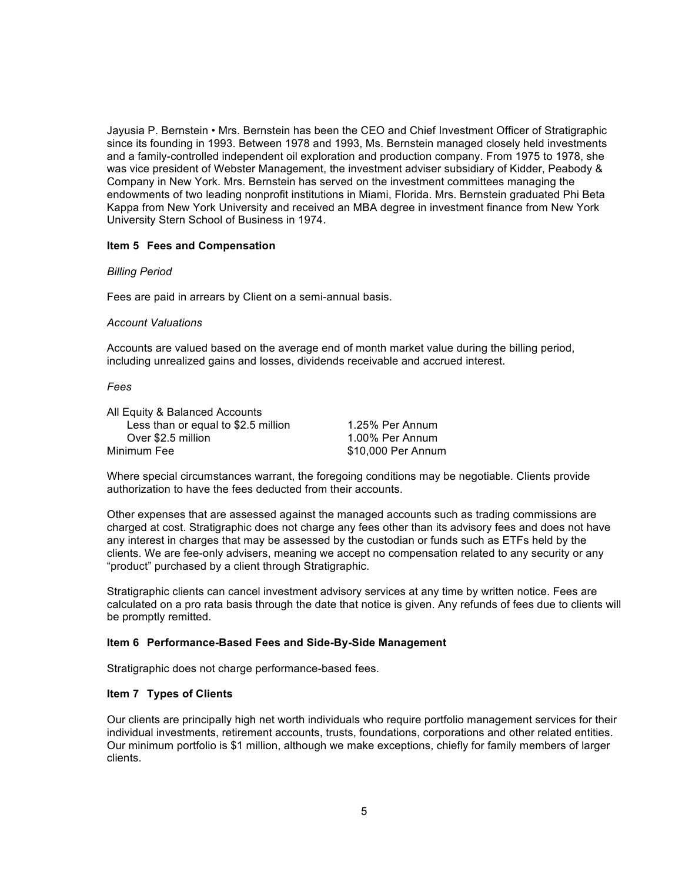Jayusia P. Bernstein • Mrs. Bernstein has been the CEO and Chief Investment Officer of Stratigraphic since its founding in 1993. Between 1978 and 1993, Ms. Bernstein managed closely held investments and a family-controlled independent oil exploration and production company. From 1975 to 1978, she was vice president of Webster Management, the investment adviser subsidiary of Kidder, Peabody & Company in New York. Mrs. Bernstein has served on the investment committees managing the endowments of two leading nonprofit institutions in Miami, Florida. Mrs. Bernstein graduated Phi Beta Kappa from New York University and received an MBA degree in investment finance from New York University Stern School of Business in 1974.

## **Item 5 Fees and Compensation**

### *Billing Period*

Fees are paid in arrears by Client on a semi-annual basis.

### *Account Valuations*

Accounts are valued based on the average end of month market value during the billing period, including unrealized gains and losses, dividends receivable and accrued interest.

### *Fees*

All Equity & Balanced Accounts Less than or equal to \$2.5 million 1.25% Per Annum Over \$2.5 million 1.00% Per Annum Minimum Fee  $$10,000$  Per Annum

Where special circumstances warrant, the foregoing conditions may be negotiable. Clients provide authorization to have the fees deducted from their accounts.

Other expenses that are assessed against the managed accounts such as trading commissions are charged at cost. Stratigraphic does not charge any fees other than its advisory fees and does not have any interest in charges that may be assessed by the custodian or funds such as ETFs held by the clients. We are fee-only advisers, meaning we accept no compensation related to any security or any "product" purchased by a client through Stratigraphic.

Stratigraphic clients can cancel investment advisory services at any time by written notice. Fees are calculated on a pro rata basis through the date that notice is given. Any refunds of fees due to clients will be promptly remitted.

## **Item 6 Performance-Based Fees and Side-By-Side Management**

Stratigraphic does not charge performance-based fees.

## **Item 7 Types of Clients**

Our clients are principally high net worth individuals who require portfolio management services for their individual investments, retirement accounts, trusts, foundations, corporations and other related entities. Our minimum portfolio is \$1 million, although we make exceptions, chiefly for family members of larger clients.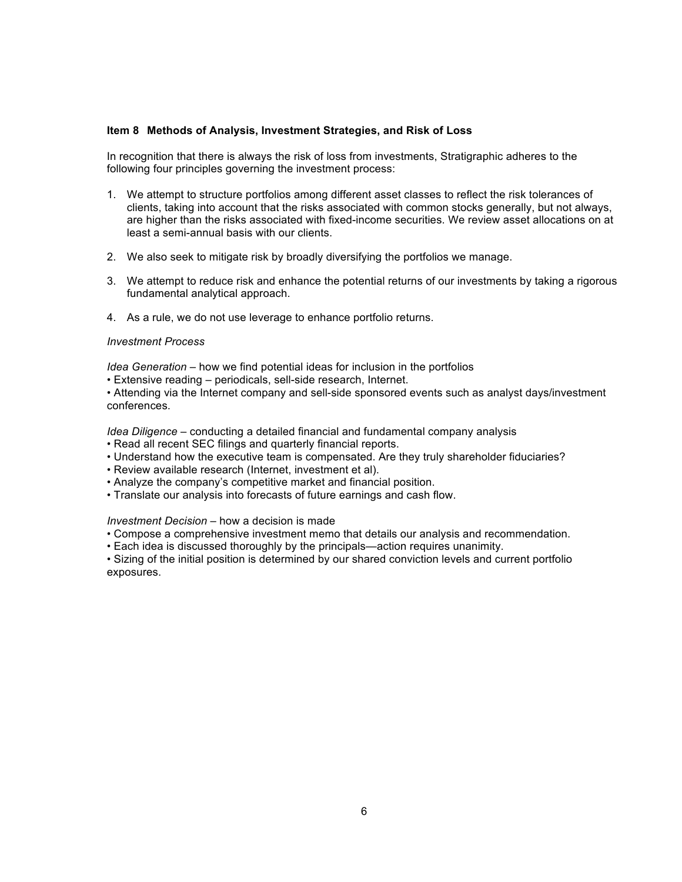### **Item 8 Methods of Analysis, Investment Strategies, and Risk of Loss**

In recognition that there is always the risk of loss from investments, Stratigraphic adheres to the following four principles governing the investment process:

- 1. We attempt to structure portfolios among different asset classes to reflect the risk tolerances of clients, taking into account that the risks associated with common stocks generally, but not always, are higher than the risks associated with fixed-income securities. We review asset allocations on at least a semi-annual basis with our clients.
- 2. We also seek to mitigate risk by broadly diversifying the portfolios we manage.
- 3. We attempt to reduce risk and enhance the potential returns of our investments by taking a rigorous fundamental analytical approach.
- 4. As a rule, we do not use leverage to enhance portfolio returns.

## *Investment Process*

*Idea Generation* – how we find potential ideas for inclusion in the portfolios

• Extensive reading – periodicals, sell-side research, Internet.

• Attending via the Internet company and sell-side sponsored events such as analyst days/investment conferences.

*Idea Diligence* – conducting a detailed financial and fundamental company analysis

- Read all recent SEC filings and quarterly financial reports.
- Understand how the executive team is compensated. Are they truly shareholder fiduciaries?
- Review available research (Internet, investment et al).
- Analyze the company's competitive market and financial position.
- Translate our analysis into forecasts of future earnings and cash flow.

## *Investment Decision* – how a decision is made

- Compose a comprehensive investment memo that details our analysis and recommendation.
- Each idea is discussed thoroughly by the principals—action requires unanimity.

• Sizing of the initial position is determined by our shared conviction levels and current portfolio exposures.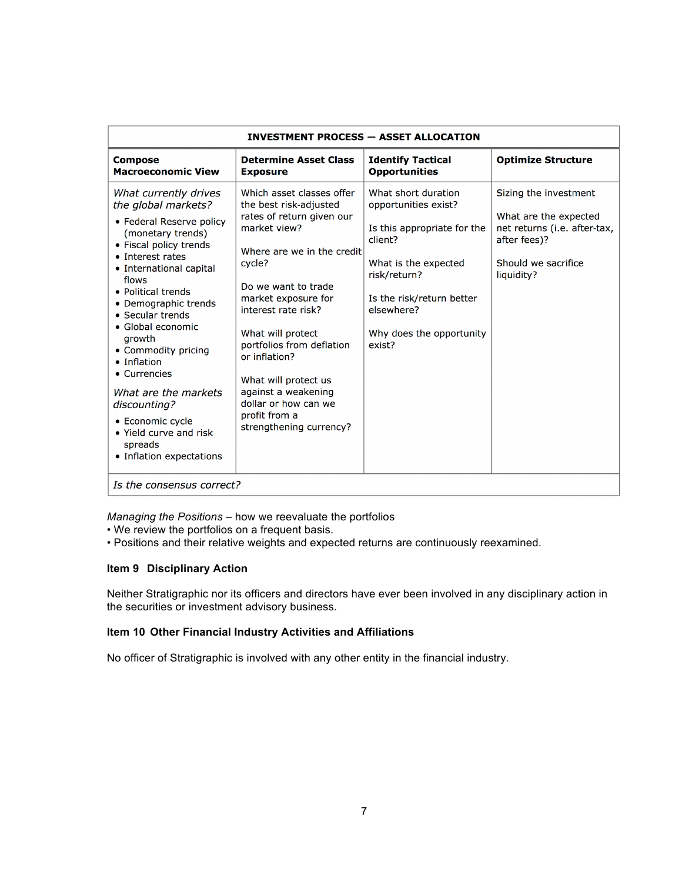| <b>INVESTMENT PROCESS - ASSET ALLOCATION</b>                                                                                                                                                                                                                                                                                                                                                                                                                        |                                                                                                                                                                                                                                                                                                                                                                                                     |                                                                                                                                                                                                                |                                                                                                                                     |  |  |
|---------------------------------------------------------------------------------------------------------------------------------------------------------------------------------------------------------------------------------------------------------------------------------------------------------------------------------------------------------------------------------------------------------------------------------------------------------------------|-----------------------------------------------------------------------------------------------------------------------------------------------------------------------------------------------------------------------------------------------------------------------------------------------------------------------------------------------------------------------------------------------------|----------------------------------------------------------------------------------------------------------------------------------------------------------------------------------------------------------------|-------------------------------------------------------------------------------------------------------------------------------------|--|--|
| <b>Compose</b><br><b>Macroeconomic View</b>                                                                                                                                                                                                                                                                                                                                                                                                                         | <b>Determine Asset Class</b><br><b>Exposure</b>                                                                                                                                                                                                                                                                                                                                                     | <b>Identify Tactical</b><br><b>Opportunities</b>                                                                                                                                                               | <b>Optimize Structure</b>                                                                                                           |  |  |
| What currently drives<br>the global markets?<br>• Federal Reserve policy<br>(monetary trends)<br>• Fiscal policy trends<br>• Interest rates<br>• International capital<br>flows<br>• Political trends<br>• Demographic trends<br>• Secular trends<br>• Global economic<br>growth<br>• Commodity pricing<br>• Inflation<br>• Currencies<br>What are the markets<br>discounting?<br>• Economic cycle<br>. Yield curve and risk<br>spreads<br>• Inflation expectations | Which asset classes offer<br>the best risk-adjusted<br>rates of return given our<br>market view?<br>Where are we in the credit<br>cycle?<br>Do we want to trade<br>market exposure for<br>interest rate risk?<br>What will protect<br>portfolios from deflation<br>or inflation?<br>What will protect us<br>against a weakening<br>dollar or how can we<br>profit from a<br>strengthening currency? | What short duration<br>opportunities exist?<br>Is this appropriate for the<br>client?<br>What is the expected<br>risk/return?<br>Is the risk/return better<br>elsewhere?<br>Why does the opportunity<br>exist? | Sizing the investment<br>What are the expected<br>net returns (i.e. after-tax,<br>after fees)?<br>Should we sacrifice<br>liquidity? |  |  |
| Is the consensus correct?                                                                                                                                                                                                                                                                                                                                                                                                                                           |                                                                                                                                                                                                                                                                                                                                                                                                     |                                                                                                                                                                                                                |                                                                                                                                     |  |  |

*Managing the Positions* – how we reevaluate the portfolios

• We review the portfolios on a frequent basis.

• Positions and their relative weights and expected returns are continuously reexamined.

## **Item 9 Disciplinary Action**

Neither Stratigraphic nor its officers and directors have ever been involved in any disciplinary action in the securities or investment advisory business.

## **Item 10 Other Financial Industry Activities and Affiliations**

No officer of Stratigraphic is involved with any other entity in the financial industry.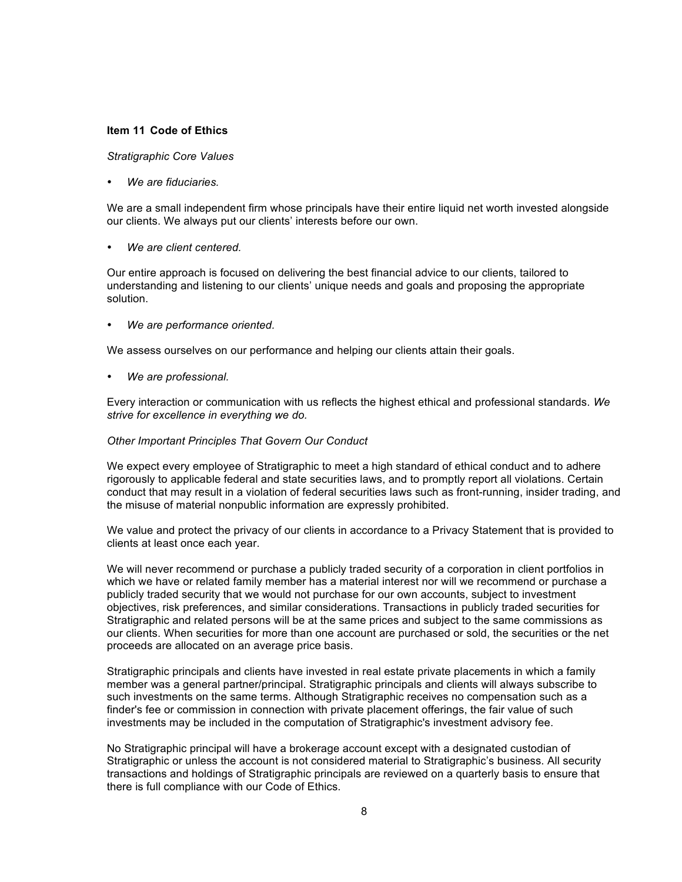### **Item 11 Code of Ethics**

### *Stratigraphic Core Values*

• *We are fiduciaries.*

We are a small independent firm whose principals have their entire liquid net worth invested alongside our clients. We always put our clients' interests before our own.

• *We are client centered.*

Our entire approach is focused on delivering the best financial advice to our clients, tailored to understanding and listening to our clients' unique needs and goals and proposing the appropriate solution.

• *We are performance oriented.* 

We assess ourselves on our performance and helping our clients attain their goals.

• *We are professional.*

Every interaction or communication with us reflects the highest ethical and professional standards. *We strive for excellence in everything we do.*

### *Other Important Principles That Govern Our Conduct*

We expect every employee of Stratigraphic to meet a high standard of ethical conduct and to adhere rigorously to applicable federal and state securities laws, and to promptly report all violations. Certain conduct that may result in a violation of federal securities laws such as front-running, insider trading, and the misuse of material nonpublic information are expressly prohibited.

We value and protect the privacy of our clients in accordance to a Privacy Statement that is provided to clients at least once each year.

We will never recommend or purchase a publicly traded security of a corporation in client portfolios in which we have or related family member has a material interest nor will we recommend or purchase a publicly traded security that we would not purchase for our own accounts, subject to investment objectives, risk preferences, and similar considerations. Transactions in publicly traded securities for Stratigraphic and related persons will be at the same prices and subject to the same commissions as our clients. When securities for more than one account are purchased or sold, the securities or the net proceeds are allocated on an average price basis.

Stratigraphic principals and clients have invested in real estate private placements in which a family member was a general partner/principal. Stratigraphic principals and clients will always subscribe to such investments on the same terms. Although Stratigraphic receives no compensation such as a finder's fee or commission in connection with private placement offerings, the fair value of such investments may be included in the computation of Stratigraphic's investment advisory fee.

No Stratigraphic principal will have a brokerage account except with a designated custodian of Stratigraphic or unless the account is not considered material to Stratigraphic's business. All security transactions and holdings of Stratigraphic principals are reviewed on a quarterly basis to ensure that there is full compliance with our Code of Ethics.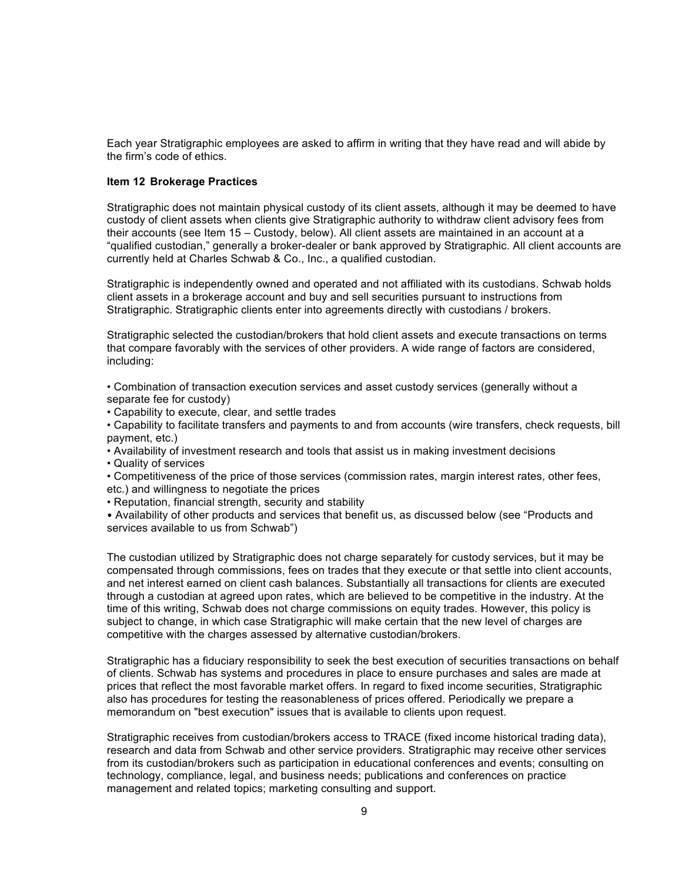Each year Stratigraphic employees are asked to affirm in writing that they have read and will abide by the firm's code of ethics.

## **Item 12 Brokerage Practices**

Stratigraphic does not maintain physical custody of its client assets, although it may be deemed to have custody of client assets when clients give Stratigraphic authority to withdraw client advisory fees from their accounts (see Item 15 – Custody, below). All client assets are maintained in an account at a "qualified custodian," generally a broker-dealer or bank approved by Stratigraphic. All client accounts are currently held at Charles Schwab & Co., Inc., a qualified custodian.

Stratigraphic is independently owned and operated and not affiliated with its custodians. Schwab holds client assets in a brokerage account and buy and sell securities pursuant to instructions from Stratigraphic. Stratigraphic clients enter into agreements directly with custodians / brokers.

Stratigraphic selected the custodian/brokers that hold client assets and execute transactions on terms that compare favorably with the services of other providers. A wide range of factors are considered, including:

• Combination of transaction execution services and asset custody services (generally without a separate fee for custody)

• Capability to execute, clear, and settle trades

• Capability to facilitate transfers and payments to and from accounts (wire transfers, check requests, bill payment, etc.)

• Availability of investment research and tools that assist us in making investment decisions

• Quality of services

• Competitiveness of the price of those services (commission rates, margin interest rates, other fees,

etc.) and willingness to negotiate the prices

• Reputation, financial strength, security and stability

• Availability of other products and services that benefit us, as discussed below (see "Products and services available to us from Schwab")

The custodian utilized by Stratigraphic does not charge separately for custody services, but it may be compensated through commissions, fees on trades that they execute or that settle into client accounts, and net interest earned on client cash balances. Substantially all transactions for clients are executed through a custodian at agreed upon rates, which are believed to be competitive in the industry. At the time of this writing, Schwab does not charge commissions on equity trades. However, this policy is subject to change, in which case Stratigraphic will make certain that the new level of charges are competitive with the charges assessed by alternative custodian/brokers.

Stratigraphic has a fiduciary responsibility to seek the best execution of securities transactions on behalf of clients. Schwab has systems and procedures in place to ensure purchases and sales are made at prices that reflect the most favorable market offers. In regard to fixed income securities, Stratigraphic also has procedures for testing the reasonableness of prices offered. Periodically we prepare a memorandum on "best execution" issues that is available to clients upon request.

Stratigraphic receives from custodian/brokers access to TRACE (fixed income historical trading data), research and data from Schwab and other service providers. Stratigraphic may receive other services from its custodian/brokers such as participation in educational conferences and events; consulting on technology, compliance, legal, and business needs; publications and conferences on practice management and related topics; marketing consulting and support.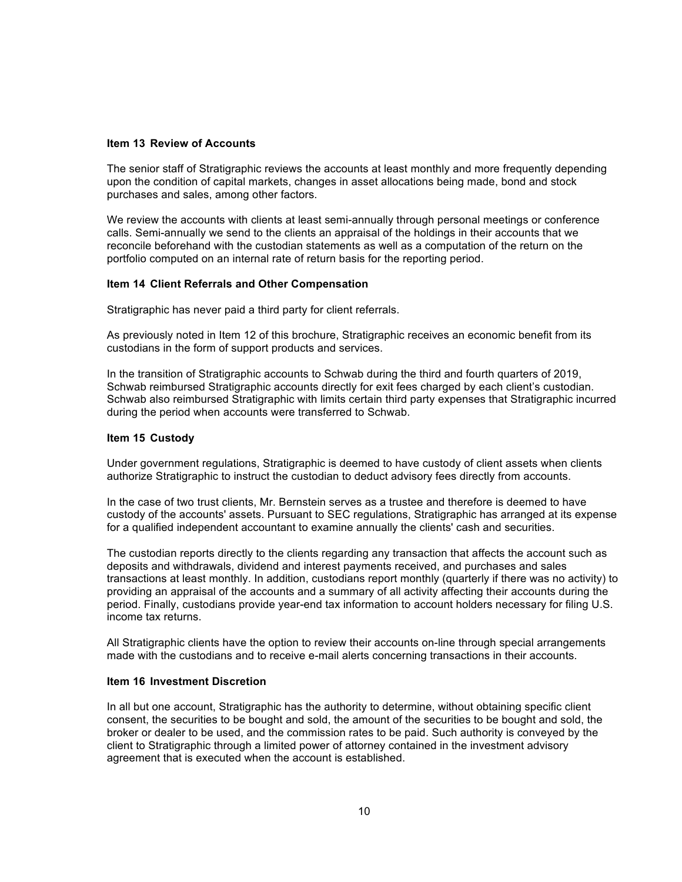## **Item 13 Review of Accounts**

The senior staff of Stratigraphic reviews the accounts at least monthly and more frequently depending upon the condition of capital markets, changes in asset allocations being made, bond and stock purchases and sales, among other factors.

We review the accounts with clients at least semi-annually through personal meetings or conference calls. Semi-annually we send to the clients an appraisal of the holdings in their accounts that we reconcile beforehand with the custodian statements as well as a computation of the return on the portfolio computed on an internal rate of return basis for the reporting period.

## **Item 14 Client Referrals and Other Compensation**

Stratigraphic has never paid a third party for client referrals.

As previously noted in Item 12 of this brochure, Stratigraphic receives an economic benefit from its custodians in the form of support products and services.

In the transition of Stratigraphic accounts to Schwab during the third and fourth quarters of 2019, Schwab reimbursed Stratigraphic accounts directly for exit fees charged by each client's custodian. Schwab also reimbursed Stratigraphic with limits certain third party expenses that Stratigraphic incurred during the period when accounts were transferred to Schwab.

### **Item 15 Custody**

Under government regulations, Stratigraphic is deemed to have custody of client assets when clients authorize Stratigraphic to instruct the custodian to deduct advisory fees directly from accounts.

In the case of two trust clients, Mr. Bernstein serves as a trustee and therefore is deemed to have custody of the accounts' assets. Pursuant to SEC regulations, Stratigraphic has arranged at its expense for a qualified independent accountant to examine annually the clients' cash and securities.

The custodian reports directly to the clients regarding any transaction that affects the account such as deposits and withdrawals, dividend and interest payments received, and purchases and sales transactions at least monthly. In addition, custodians report monthly (quarterly if there was no activity) to providing an appraisal of the accounts and a summary of all activity affecting their accounts during the period. Finally, custodians provide year-end tax information to account holders necessary for filing U.S. income tax returns.

All Stratigraphic clients have the option to review their accounts on-line through special arrangements made with the custodians and to receive e-mail alerts concerning transactions in their accounts.

### **Item 16 Investment Discretion**

In all but one account, Stratigraphic has the authority to determine, without obtaining specific client consent, the securities to be bought and sold, the amount of the securities to be bought and sold, the broker or dealer to be used, and the commission rates to be paid. Such authority is conveyed by the client to Stratigraphic through a limited power of attorney contained in the investment advisory agreement that is executed when the account is established.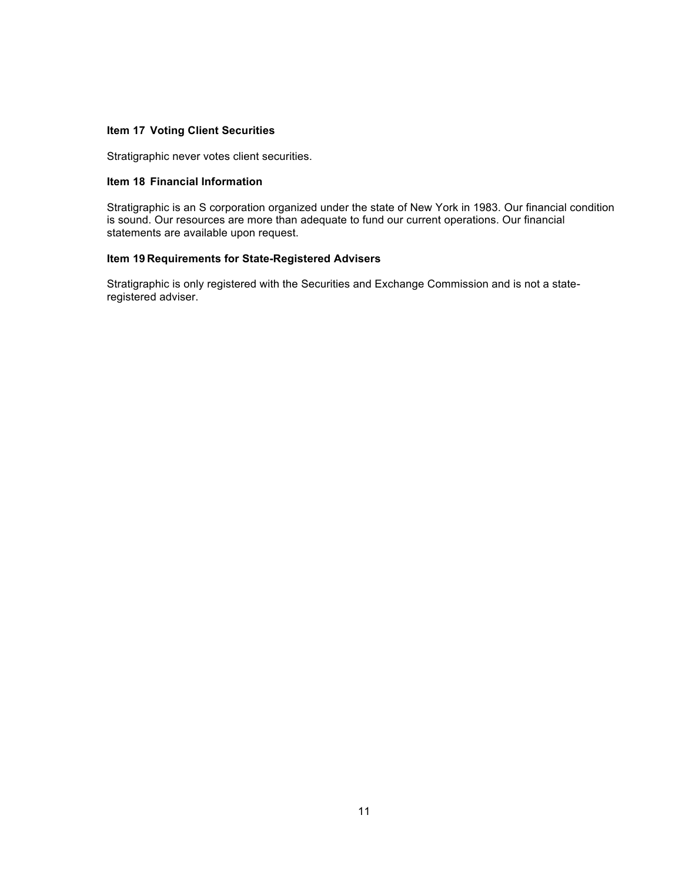## **Item 17 Voting Client Securities**

Stratigraphic never votes client securities.

## **Item 18 Financial Information**

Stratigraphic is an S corporation organized under the state of New York in 1983. Our financial condition is sound. Our resources are more than adequate to fund our current operations. Our financial statements are available upon request.

## **Item 19 Requirements for State-Registered Advisers**

Stratigraphic is only registered with the Securities and Exchange Commission and is not a stateregistered adviser.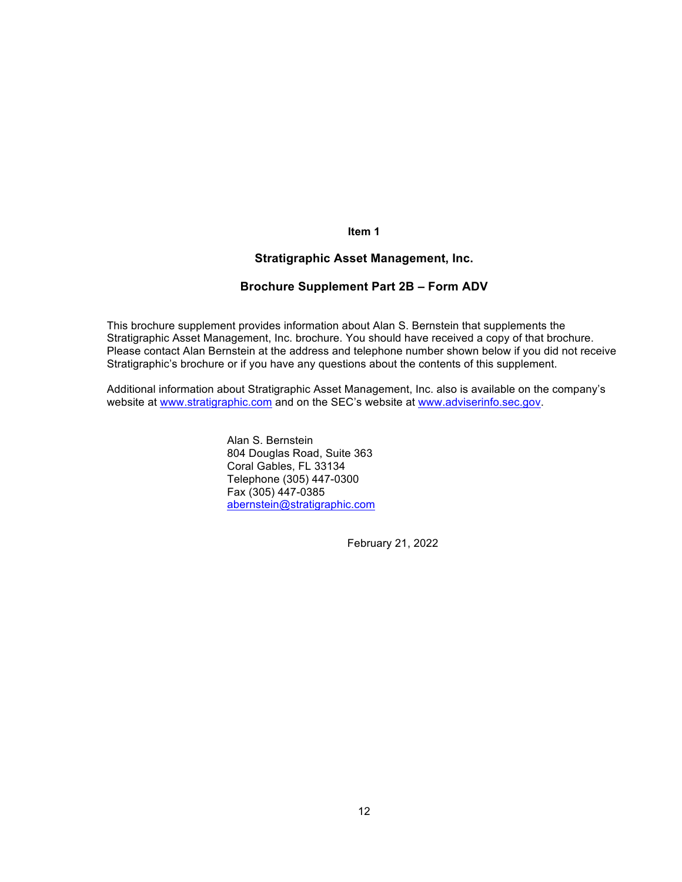**Item 1**

## **Stratigraphic Asset Management, Inc.**

## **Brochure Supplement Part 2B – Form ADV**

This brochure supplement provides information about Alan S. Bernstein that supplements the Stratigraphic Asset Management, Inc. brochure. You should have received a copy of that brochure. Please contact Alan Bernstein at the address and telephone number shown below if you did not receive Stratigraphic's brochure or if you have any questions about the contents of this supplement.

Additional information about Stratigraphic Asset Management, Inc. also is available on the company's website at www.stratigraphic.com and on the SEC's website at www.adviserinfo.sec.gov.

> Alan S. Bernstein 804 Douglas Road, Suite 363 Coral Gables, FL 33134 Telephone (305) 447-0300 Fax (305) 447-0385 abernstein@stratigraphic.com

> > February 21, 2022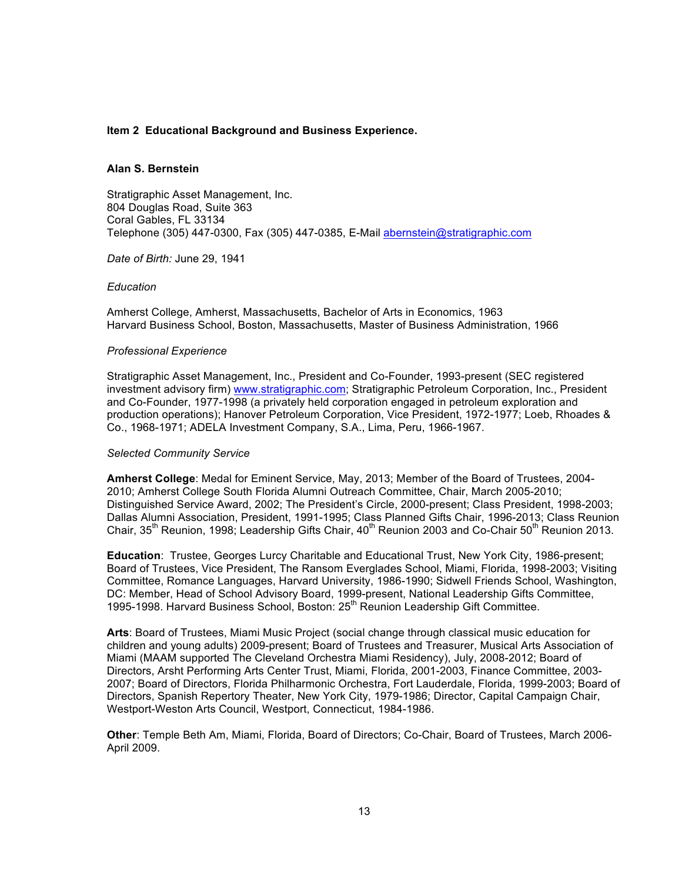## **Item 2 Educational Background and Business Experience.**

### **Alan S. Bernstein**

Stratigraphic Asset Management, Inc. 804 Douglas Road, Suite 363 Coral Gables, FL 33134 Telephone (305) 447-0300, Fax (305) 447-0385, E-Mail abernstein@stratigraphic.com

*Date of Birth:* June 29, 1941

### *Education*

Amherst College, Amherst, Massachusetts, Bachelor of Arts in Economics, 1963 Harvard Business School, Boston, Massachusetts, Master of Business Administration, 1966

### *Professional Experience*

Stratigraphic Asset Management, Inc., President and Co-Founder, 1993-present (SEC registered investment advisory firm) www.stratigraphic.com; Stratigraphic Petroleum Corporation, Inc., President and Co-Founder, 1977-1998 (a privately held corporation engaged in petroleum exploration and production operations); Hanover Petroleum Corporation, Vice President, 1972-1977; Loeb, Rhoades & Co., 1968-1971; ADELA Investment Company, S.A., Lima, Peru, 1966-1967.

### *Selected Community Service*

**Amherst College**: Medal for Eminent Service, May, 2013; Member of the Board of Trustees, 2004- 2010; Amherst College South Florida Alumni Outreach Committee, Chair, March 2005-2010; Distinguished Service Award, 2002; The President's Circle, 2000-present; Class President, 1998-2003; Dallas Alumni Association, President, 1991-1995; Class Planned Gifts Chair, 1996-2013; Class Reunion Chair, 35<sup>th</sup> Reunion, 1998; Leadership Gifts Chair,  $40^{th}$  Reunion 2003 and Co-Chair 50<sup>th</sup> Reunion 2013.

**Education**: Trustee, Georges Lurcy Charitable and Educational Trust, New York City, 1986-present; Board of Trustees, Vice President, The Ransom Everglades School, Miami, Florida, 1998-2003; Visiting Committee, Romance Languages, Harvard University, 1986-1990; Sidwell Friends School, Washington, DC: Member, Head of School Advisory Board, 1999-present, National Leadership Gifts Committee, 1995-1998. Harvard Business School, Boston: 25<sup>th</sup> Reunion Leadership Gift Committee.

**Arts**: Board of Trustees, Miami Music Project (social change through classical music education for children and young adults) 2009-present; Board of Trustees and Treasurer, Musical Arts Association of Miami (MAAM supported The Cleveland Orchestra Miami Residency), July, 2008-2012; Board of Directors, Arsht Performing Arts Center Trust, Miami, Florida, 2001-2003, Finance Committee, 2003- 2007; Board of Directors, Florida Philharmonic Orchestra, Fort Lauderdale, Florida, 1999-2003; Board of Directors, Spanish Repertory Theater, New York City, 1979-1986; Director, Capital Campaign Chair, Westport-Weston Arts Council, Westport, Connecticut, 1984-1986.

**Other**: Temple Beth Am, Miami, Florida, Board of Directors; Co-Chair, Board of Trustees, March 2006- April 2009.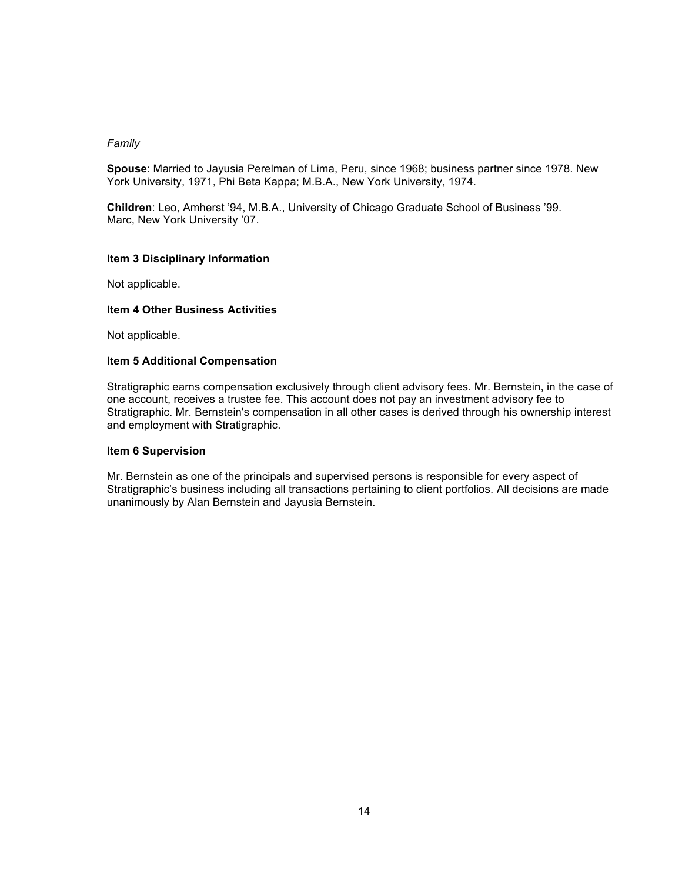## *Family*

**Spouse**: Married to Jayusia Perelman of Lima, Peru, since 1968; business partner since 1978. New York University, 1971, Phi Beta Kappa; M.B.A., New York University, 1974.

**Children**: Leo, Amherst '94, M.B.A., University of Chicago Graduate School of Business '99. Marc, New York University '07.

## **Item 3 Disciplinary Information**

Not applicable.

## **Item 4 Other Business Activities**

Not applicable.

## **Item 5 Additional Compensation**

Stratigraphic earns compensation exclusively through client advisory fees. Mr. Bernstein, in the case of one account, receives a trustee fee. This account does not pay an investment advisory fee to Stratigraphic. Mr. Bernstein's compensation in all other cases is derived through his ownership interest and employment with Stratigraphic.

### **Item 6 Supervision**

Mr. Bernstein as one of the principals and supervised persons is responsible for every aspect of Stratigraphic's business including all transactions pertaining to client portfolios. All decisions are made unanimously by Alan Bernstein and Jayusia Bernstein.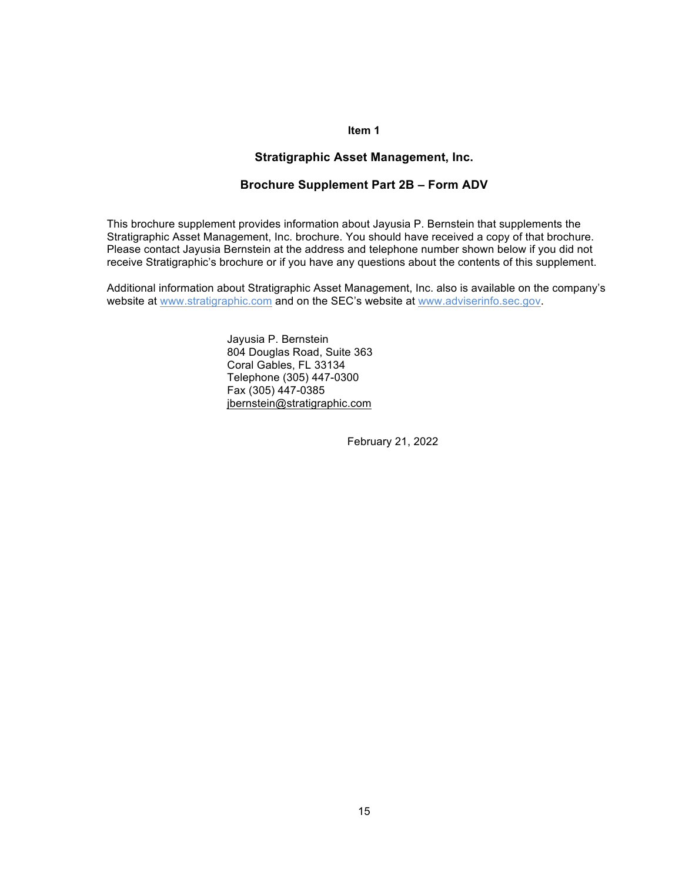## **Item 1**

## **Stratigraphic Asset Management, Inc.**

## **Brochure Supplement Part 2B – Form ADV**

This brochure supplement provides information about Jayusia P. Bernstein that supplements the Stratigraphic Asset Management, Inc. brochure. You should have received a copy of that brochure. Please contact Jayusia Bernstein at the address and telephone number shown below if you did not receive Stratigraphic's brochure or if you have any questions about the contents of this supplement.

Additional information about Stratigraphic Asset Management, Inc. also is available on the company's website at www.stratigraphic.com and on the SEC's website at www.adviserinfo.sec.gov.

> Jayusia P. Bernstein 804 Douglas Road, Suite 363 Coral Gables, FL 33134 Telephone (305) 447-0300 Fax (305) 447-0385 jbernstein@stratigraphic.com

> > February 21, 2022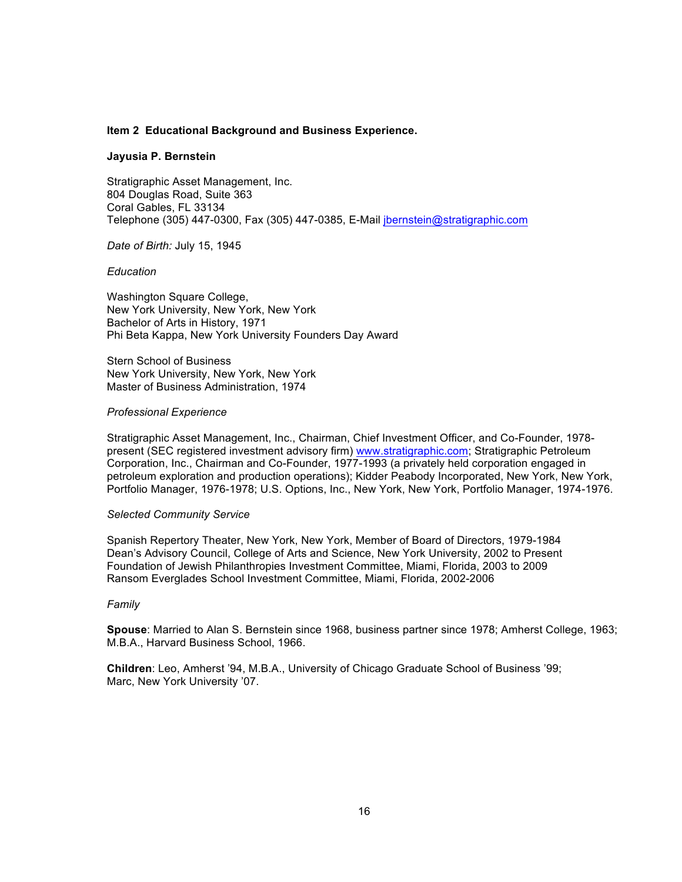### **Item 2 Educational Background and Business Experience.**

### **Jayusia P. Bernstein**

Stratigraphic Asset Management, Inc. 804 Douglas Road, Suite 363 Coral Gables, FL 33134 Telephone (305) 447-0300, Fax (305) 447-0385, E-Mail jbernstein@stratigraphic.com

*Date of Birth:* July 15, 1945

### *Education*

Washington Square College, New York University, New York, New York Bachelor of Arts in History, 1971 Phi Beta Kappa, New York University Founders Day Award

Stern School of Business New York University, New York, New York Master of Business Administration, 1974

### *Professional Experience*

Stratigraphic Asset Management, Inc., Chairman, Chief Investment Officer, and Co-Founder, 1978 present (SEC registered investment advisory firm) www.stratigraphic.com; Stratigraphic Petroleum Corporation, Inc., Chairman and Co-Founder, 1977-1993 (a privately held corporation engaged in petroleum exploration and production operations); Kidder Peabody Incorporated, New York, New York, Portfolio Manager, 1976-1978; U.S. Options, Inc., New York, New York, Portfolio Manager, 1974-1976.

### *Selected Community Service*

Spanish Repertory Theater, New York, New York, Member of Board of Directors, 1979-1984 Dean's Advisory Council, College of Arts and Science, New York University, 2002 to Present Foundation of Jewish Philanthropies Investment Committee, Miami, Florida, 2003 to 2009 Ransom Everglades School Investment Committee, Miami, Florida, 2002-2006

#### *Family*

**Spouse**: Married to Alan S. Bernstein since 1968, business partner since 1978; Amherst College, 1963; M.B.A., Harvard Business School, 1966.

**Children**: Leo, Amherst '94, M.B.A., University of Chicago Graduate School of Business '99; Marc, New York University '07.